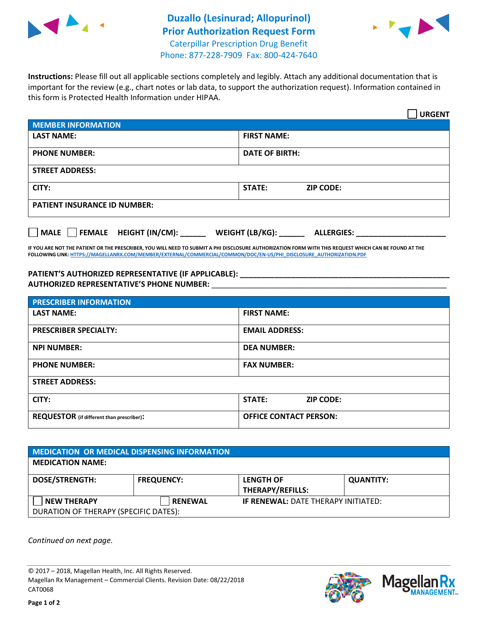



**Instructions:** Please fill out all applicable sections completely and legibly. Attach any additional documentation that is important for the review (e.g., chart notes or lab data, to support the authorization request). Information contained in this form is Protected Health Information under HIPAA.

|                                     |                                      | <b>URGENT</b> |  |  |
|-------------------------------------|--------------------------------------|---------------|--|--|
| <b>MEMBER INFORMATION</b>           |                                      |               |  |  |
| <b>LAST NAME:</b>                   | <b>FIRST NAME:</b>                   |               |  |  |
| <b>PHONE NUMBER:</b>                | <b>DATE OF BIRTH:</b>                |               |  |  |
| <b>STREET ADDRESS:</b>              |                                      |               |  |  |
| CITY:                               | <b>STATE:</b><br><b>ZIP CODE:</b>    |               |  |  |
| <b>PATIENT INSURANCE ID NUMBER:</b> |                                      |               |  |  |
| MALE FEMALE HEIGHT (IN/CM):         | WEIGHT (LB/KG):<br><b>ALLERGIES:</b> |               |  |  |

**IF YOU ARE NOT THE PATIENT OR THE PRESCRIBER, YOU WILL NEED TO SUBMIT A PHI DISCLOSURE AUTHORIZATION FORM WITH THIS REQUEST WHICH CAN BE FOUND AT THE FOLLOWING LINK[: HTTPS://MAGELLANRX.COM/MEMBER/EXTERNAL/COMMERCIAL/COMMON/DOC/EN-US/PHI\\_DISCLOSURE\\_AUTHORIZATION.PDF](https://magellanrx.com/member/external/commercial/common/doc/en-us/PHI_Disclosure_Authorization.pdf)**

PATIENT'S AUTHORIZED REPRESENTATIVE (IF APPLICABLE): **AUTHORIZED REPRESENTATIVE'S PHONE NUMBER:** \_\_\_\_\_\_\_\_\_\_\_\_\_\_\_\_\_\_\_\_\_\_\_\_\_\_\_\_\_\_\_\_\_\_\_\_\_\_\_\_\_\_\_\_\_\_\_\_\_\_\_\_\_\_\_

| <b>PRESCRIBER INFORMATION</b>             |                               |  |  |  |
|-------------------------------------------|-------------------------------|--|--|--|
| <b>LAST NAME:</b>                         | <b>FIRST NAME:</b>            |  |  |  |
| <b>PRESCRIBER SPECIALTY:</b>              | <b>EMAIL ADDRESS:</b>         |  |  |  |
| <b>NPI NUMBER:</b>                        | <b>DEA NUMBER:</b>            |  |  |  |
| <b>PHONE NUMBER:</b>                      | <b>FAX NUMBER:</b>            |  |  |  |
| <b>STREET ADDRESS:</b>                    |                               |  |  |  |
| CITY:                                     | STATE:<br><b>ZIP CODE:</b>    |  |  |  |
| REQUESTOR (if different than prescriber): | <b>OFFICE CONTACT PERSON:</b> |  |  |  |

| <b>MEDICATION OR MEDICAL DISPENSING INFORMATION</b> |                   |                                            |                  |  |  |
|-----------------------------------------------------|-------------------|--------------------------------------------|------------------|--|--|
| <b>MEDICATION NAME:</b>                             |                   |                                            |                  |  |  |
| <b>DOSE/STRENGTH:</b>                               | <b>FREQUENCY:</b> | <b>LENGTH OF</b>                           | <b>QUANTITY:</b> |  |  |
|                                                     |                   | <b>THERAPY/REFILLS:</b>                    |                  |  |  |
| <b>NEW THERAPY</b>                                  | <b>RENEWAL</b>    | <b>IF RENEWAL: DATE THERAPY INITIATED:</b> |                  |  |  |
| DURATION OF THERAPY (SPECIFIC DATES):               |                   |                                            |                  |  |  |

*Continued on next page.*

© 2017 – 2018, Magellan Health, Inc. All Rights Reserved. Magellan Rx Management – Commercial Clients. Revision Date: 08/22/2018 CAT0068